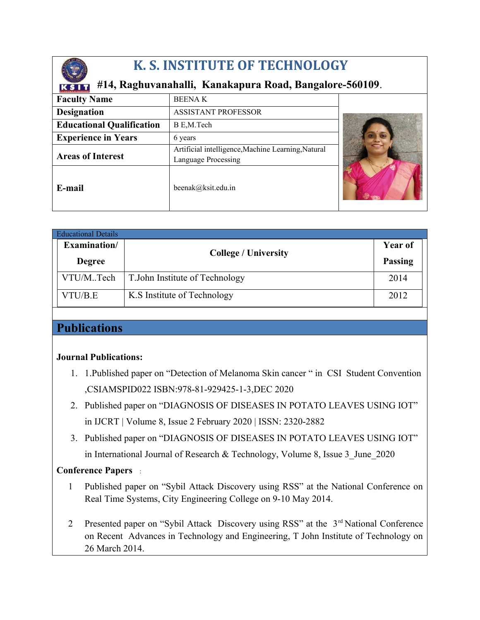

## **K. S. INSTITUTE OF TECHNOLOGY**

### **#14, Raghuvanahalli, Kanakapura Road, Bangalore-560109**.

| <b>Faculty Name</b>              | <b>BEENAK</b>                                                             |  |
|----------------------------------|---------------------------------------------------------------------------|--|
| <b>Designation</b>               | <b>ASSISTANT PROFESSOR</b>                                                |  |
| <b>Educational Qualification</b> | B E,M.Tech                                                                |  |
| <b>Experience in Years</b>       | 6 years                                                                   |  |
| <b>Areas of Interest</b>         | Artificial intelligence, Machine Learning, Natural<br>Language Processing |  |
| E-mail                           | beenak@ksit.edu.in                                                        |  |

| <b>Educational Details</b> |                                 |                |  |  |  |
|----------------------------|---------------------------------|----------------|--|--|--|
| Examination/               |                                 | Year of        |  |  |  |
| <b>Degree</b>              | <b>College / University</b>     | <b>Passing</b> |  |  |  |
| VTU/MTech                  | T. John Institute of Technology | 2014           |  |  |  |
| VTU/B.E                    | K.S Institute of Technology     | 2012           |  |  |  |

## **Publications**

#### **Journal Publications:**

- 1. 1.Published paper on "Detection of Melanoma Skin cancer " in CSI Student Convention ,CSIAMSPID022 ISBN:978-81-929425-1-3,DEC 2020
- 2. Published paper on "DIAGNOSIS OF DISEASES IN POTATO LEAVES USING IOT" in IJCRT | Volume 8, Issue 2 February 2020 | ISSN: 2320-2882
- 3. Published paper on "DIAGNOSIS OF DISEASES IN POTATO LEAVES USING IOT"

in International Journal of Research & Technology, Volume 8, Issue 3 June 2020

#### **Conference Papers** :

- 1 Published paper on "Sybil Attack Discovery using RSS" at the National Conference on Real Time Systems, City Engineering College on 9-10 May 2014.
- 2 Presented paper on "Sybil Attack Discovery using RSS" at the 3<sup>rd</sup> National Conference on Recent Advances in Technology and Engineering, T John Institute of Technology on 26 March 2014.